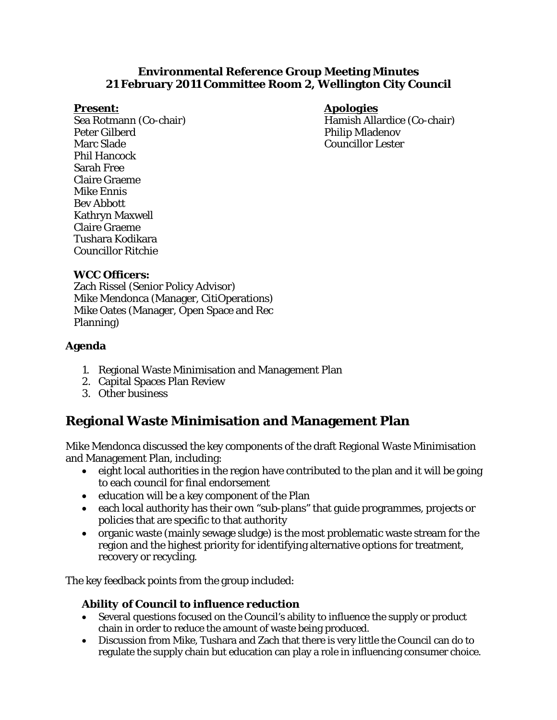#### **Environmental Reference Group Meeting Minutes 21 February 2011 Committee Room 2, Wellington City Council**

#### *Present:*

Sea Rotmann (Co-chair) Peter Gilberd Marc Slade Phil Hancock Sarah Free Claire Graeme Mike Ennis Bev Abbott Kathryn Maxwell Claire Graeme Tushara Kodikara Councillor Ritchie

#### *Apologies*

Hamish Allardice (Co-chair) Philip Mladenov Councillor Lester

#### **WCC Officers:**

Zach Rissel (Senior Policy Advisor) Mike Mendonca (Manager, CitiOperations) Mike Oates (Manager, Open Space and Rec Planning)

#### **Agenda**

- 1. Regional Waste Minimisation and Management Plan
- 2. Capital Spaces Plan Review
- 3. Other business

### **Regional Waste Minimisation and Management Plan**

Mike Mendonca discussed the key components of the draft Regional Waste Minimisation and Management Plan, including:

- eight local authorities in the region have contributed to the plan and it will be going to each council for final endorsement
- education will be a key component of the Plan
- each local authority has their own "sub-plans" that guide programmes, projects or policies that are specific to that authority
- organic waste (mainly sewage sludge) is the most problematic waste stream for the region and the highest priority for identifying alternative options for treatment, recovery or recycling.

The key feedback points from the group included:

#### *Ability of Council to influence reduction*

- Several questions focused on the Council's ability to influence the supply or product chain in order to reduce the amount of waste being produced.
- Discussion from Mike, Tushara and Zach that there is very little the Council can do to regulate the supply chain but education can play a role in influencing consumer choice.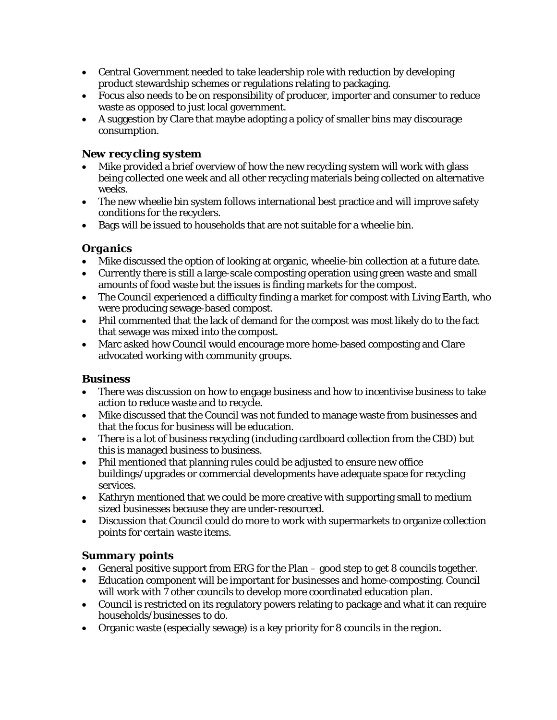- Central Government needed to take leadership role with reduction by developing product stewardship schemes or regulations relating to packaging.
- Focus also needs to be on responsibility of producer, importer and consumer to reduce waste as opposed to just local government.
- A suggestion by Clare that maybe adopting a policy of smaller bins may discourage consumption.

#### *New recycling system*

- Mike provided a brief overview of how the new recycling system will work with glass being collected one week and all other recycling materials being collected on alternative weeks.
- The new wheelie bin system follows international best practice and will improve safety conditions for the recyclers.
- Bags will be issued to households that are not suitable for a wheelie bin.

#### *Organics*

- Mike discussed the option of looking at organic, wheelie-bin collection at a future date.
- Currently there is still a large-scale composting operation using green waste and small amounts of food waste but the issues is finding markets for the compost.
- The Council experienced a difficulty finding a market for compost with Living Earth, who were producing sewage-based compost.
- Phil commented that the lack of demand for the compost was most likely do to the fact that sewage was mixed into the compost.
- Marc asked how Council would encourage more home-based composting and Clare advocated working with community groups.

#### *Business*

- There was discussion on how to engage business and how to incentivise business to take action to reduce waste and to recycle.
- Mike discussed that the Council was not funded to manage waste from businesses and that the focus for business will be education.
- There is a lot of business recycling (including cardboard collection from the CBD) but this is managed business to business.
- Phil mentioned that planning rules could be adjusted to ensure new office buildings/upgrades or commercial developments have adequate space for recycling services.
- Kathryn mentioned that we could be more creative with supporting small to medium sized businesses because they are under-resourced.
- Discussion that Council could do more to work with supermarkets to organize collection points for certain waste items.

#### *Summary points*

- General positive support from ERG for the Plan good step to get 8 councils together.
- Education component will be important for businesses and home-composting. Council will work with 7 other councils to develop more coordinated education plan.
- Council is restricted on its regulatory powers relating to package and what it can require households/businesses to do.
- Organic waste (especially sewage) is a key priority for 8 councils in the region.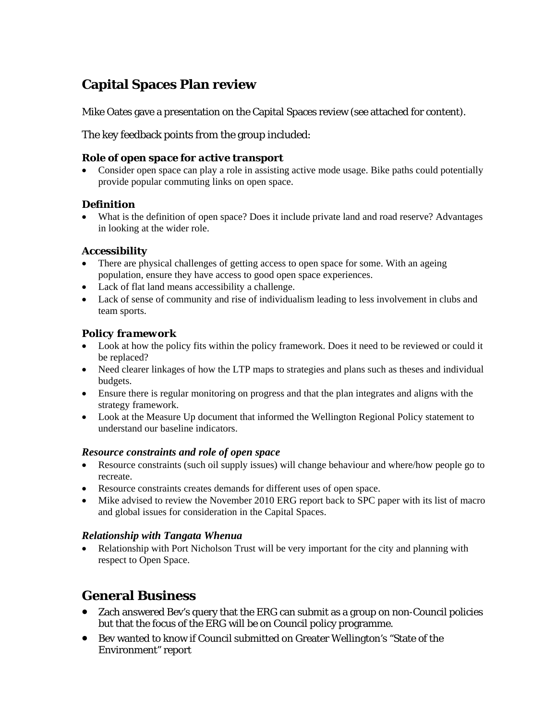# **Capital Spaces Plan review**

Mike Oates gave a presentation on the Capital Spaces review (see attached for content).

The key feedback points from the group included:

#### *Role of open space for active transport*

• Consider open space can play a role in assisting active mode usage. Bike paths could potentially provide popular commuting links on open space.

#### *Definition*

• What is the definition of open space? Does it include private land and road reserve? Advantages in looking at the wider role.

#### *Accessibility*

- There are physical challenges of getting access to open space for some. With an ageing population, ensure they have access to good open space experiences.
- Lack of flat land means accessibility a challenge.
- Lack of sense of community and rise of individualism leading to less involvement in clubs and team sports.

#### *Policy framework*

- Look at how the policy fits within the policy framework. Does it need to be reviewed or could it be replaced?
- Need clearer linkages of how the LTP maps to strategies and plans such as theses and individual budgets.
- Ensure there is regular monitoring on progress and that the plan integrates and aligns with the strategy framework.
- Look at the Measure Up document that informed the Wellington Regional Policy statement to understand our baseline indicators.

#### *Resource constraints and role of open space*

- Resource constraints (such oil supply issues) will change behaviour and where/how people go to recreate.
- Resource constraints creates demands for different uses of open space.
- Mike advised to review the November 2010 ERG report back to SPC paper with its list of macro and global issues for consideration in the Capital Spaces.

### *Relationship with Tangata Whenua*

• Relationship with Port Nicholson Trust will be very important for the city and planning with respect to Open Space.

## **General Business**

- Zach answered Bev's query that the ERG can submit as a group on non-Council policies but that the focus of the ERG will be on Council policy programme.
- Bev wanted to know if Council submitted on Greater Wellington's "State of the Environment" report